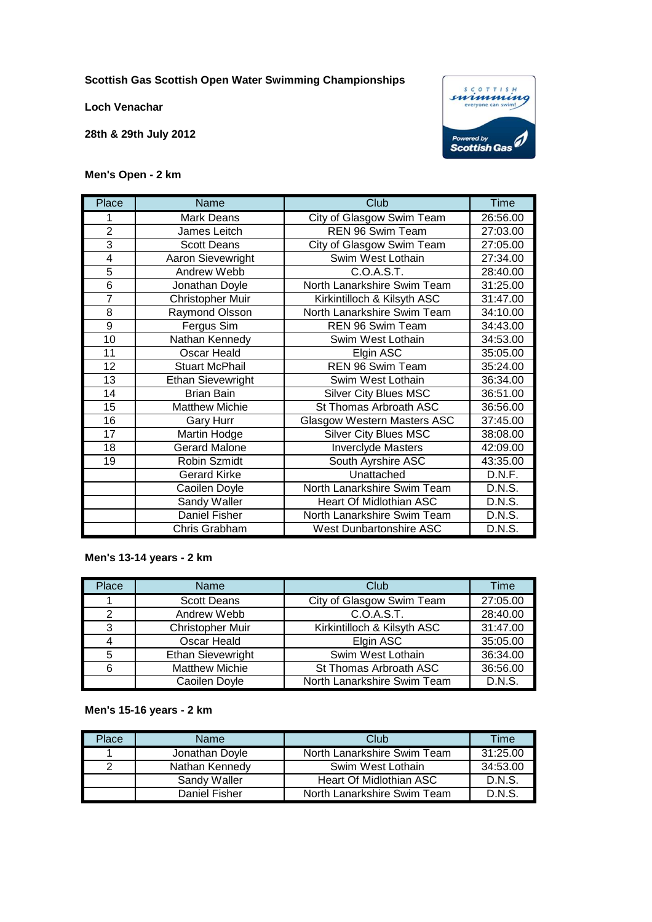**Scottish Gas Scottish Open Water Swimming Championships**

**Loch Venachar**

**28th & 29th July 2012**



### **Men's Open - 2 km**

| Place          | Name                     | Club                               | Time     |
|----------------|--------------------------|------------------------------------|----------|
| 1              | <b>Mark Deans</b>        | City of Glasgow Swim Team          | 26:56.00 |
| $\overline{2}$ | James Leitch             | <b>REN 96 Swim Team</b>            | 27:03.00 |
| 3              | <b>Scott Deans</b>       | City of Glasgow Swim Team          | 27:05.00 |
| 4              | Aaron Sievewright        | Swim West Lothain                  | 27:34.00 |
| $\overline{5}$ | Andrew Webb              | C.O.A.S.T.                         | 28:40.00 |
| 6              | Jonathan Doyle           | North Lanarkshire Swim Team        | 31:25.00 |
| $\overline{7}$ | Christopher Muir         | Kirkintilloch & Kilsyth ASC        | 31:47.00 |
| 8              | Raymond Olsson           | North Lanarkshire Swim Team        | 34:10.00 |
| $\overline{9}$ | Fergus Sim               | REN 96 Swim Team                   | 34:43.00 |
| 10             | Nathan Kennedy           | Swim West Lothain                  | 34:53.00 |
| 11             | Oscar Heald              | Elgin ASC                          | 35:05.00 |
| 12             | <b>Stuart McPhail</b>    | REN 96 Swim Team                   | 35:24.00 |
| 13             | <b>Ethan Sievewright</b> | Swim West Lothain                  | 36:34.00 |
| 14             | <b>Brian Bain</b>        | <b>Silver City Blues MSC</b>       | 36:51.00 |
| 15             | <b>Matthew Michie</b>    | St Thomas Arbroath ASC             | 36:56.00 |
| 16             | <b>Gary Hurr</b>         | <b>Glasgow Western Masters ASC</b> | 37:45.00 |
| 17             | Martin Hodge             | <b>Silver City Blues MSC</b>       | 38:08.00 |
| 18             | <b>Gerard Malone</b>     | <b>Inverclyde Masters</b>          | 42:09.00 |
| 19             | Robin Szmidt             | South Ayrshire ASC                 | 43:35.00 |
|                | <b>Gerard Kirke</b>      | Unattached                         | D.N.F.   |
|                | Caoilen Doyle            | North Lanarkshire Swim Team        | D.N.S.   |
|                | Sandy Waller             | Heart Of Midlothian ASC            | D.N.S.   |
|                | Daniel Fisher            | North Lanarkshire Swim Team        | D.N.S.   |
|                | Chris Grabham            | <b>West Dunbartonshire ASC</b>     | D.N.S.   |

#### **Men's 13-14 years - 2 km**

| Place | Name                     | Club                        | Time     |
|-------|--------------------------|-----------------------------|----------|
|       | <b>Scott Deans</b>       | City of Glasgow Swim Team   | 27:05.00 |
| 2     | Andrew Webb              | C.O.A.S.T.                  | 28:40.00 |
| 3     | Christopher Muir         | Kirkintilloch & Kilsyth ASC | 31:47.00 |
| 4     | Oscar Heald              | Elgin ASC                   | 35:05.00 |
| 5     | <b>Ethan Sievewright</b> | Swim West Lothain           | 36:34.00 |
| 6     | <b>Matthew Michie</b>    | St Thomas Arbroath ASC      | 36:56.00 |
|       | Caoilen Doyle            | North Lanarkshire Swim Team | D.N.S.   |

#### **Men's 15-16 years - 2 km**

| Place | <b>Name</b>    | Club                        | Time     |
|-------|----------------|-----------------------------|----------|
|       | Jonathan Doyle | North Lanarkshire Swim Team | 31:25.00 |
| ⌒     | Nathan Kennedy | Swim West Lothain           | 34:53.00 |
|       | Sandy Waller   | Heart Of Midlothian ASC     | D.N.S.   |
|       | Daniel Fisher  | North Lanarkshire Swim Team | D.N.S.   |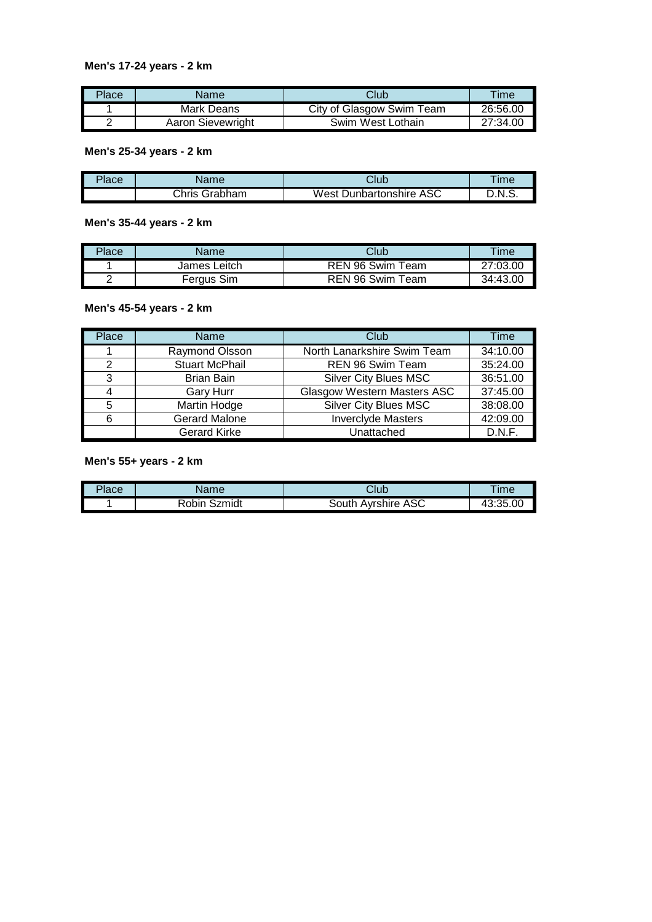## **Men's 17-24 years - 2 km**

| Place | Name              | Club                      | Time     |
|-------|-------------------|---------------------------|----------|
|       | Mark Deans        | City of Glasgow Swim Team | 26:56.00 |
|       | Aaron Sievewright | Swim West Lothain         | 27:34.00 |

**Men's 25-34 years - 2 km**

| Place | Name             | Club                    | īme          |
|-------|------------------|-------------------------|--------------|
|       | Grabham<br>ટhris | West Dunbartonshire ASC | ่<br>- .N.S. |

**Men's 35-44 years - 2 km**

| Place | Name         | Club             | <b>Time</b> |
|-------|--------------|------------------|-------------|
|       | James Leitch | REN 96 Swim Team | 27:03.00    |
|       | Fergus Sim   | REN 96 Swim Team | 34:43.00    |

#### **Men's 45-54 years - 2 km**

| Place | <b>Name</b>           | Club                               | Time     |
|-------|-----------------------|------------------------------------|----------|
|       | Raymond Olsson        | North Lanarkshire Swim Team        | 34:10.00 |
| 2     | <b>Stuart McPhail</b> | REN 96 Swim Team                   | 35:24.00 |
| 3     | <b>Brian Bain</b>     | <b>Silver City Blues MSC</b>       | 36:51.00 |
| 4     | <b>Gary Hurr</b>      | <b>Glasgow Western Masters ASC</b> | 37:45.00 |
| 5     | <b>Martin Hodge</b>   | <b>Silver City Blues MSC</b>       | 38:08.00 |
| 6     | <b>Gerard Malone</b>  | <b>Inverclyde Masters</b>          | 42:09.00 |
|       | <b>Gerard Kirke</b>   | Unattached                         | D.N.F.   |

## **Men's 55+ years - 2 km**

| Place | <b>Name</b>     | Club                         | Time     |
|-------|-----------------|------------------------------|----------|
|       | Robin<br>Szmidt | <b>Ayrshire ASC</b><br>3outh | 43:35.00 |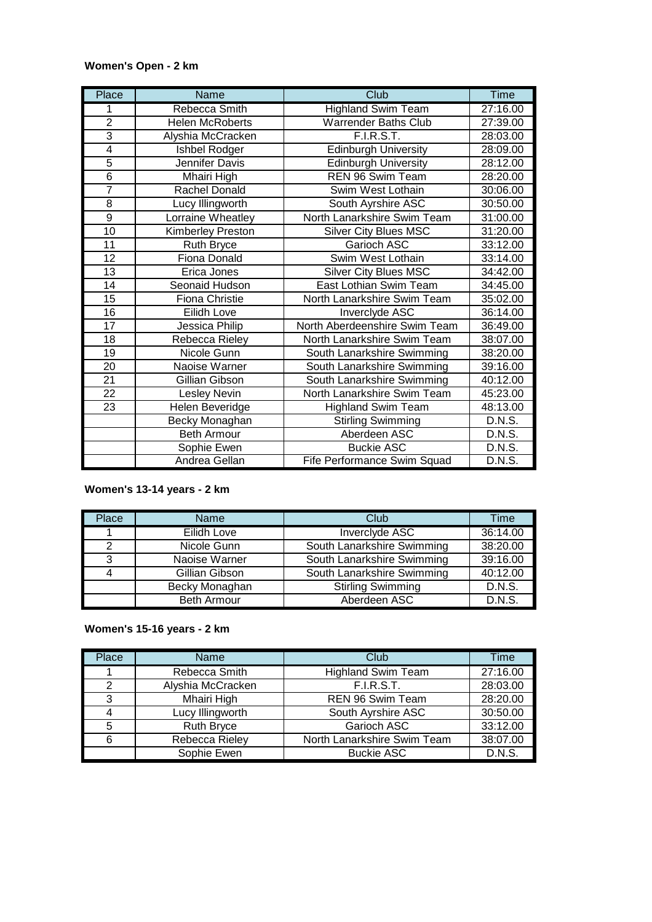## **Women's Open - 2 km**

| Place           | Name                   | Club                          | <b>Time</b>   |
|-----------------|------------------------|-------------------------------|---------------|
| 1               | Rebecca Smith          | <b>Highland Swim Team</b>     | 27:16.00      |
| $\overline{2}$  | <b>Helen McRoberts</b> | <b>Warrender Baths Club</b>   | 27:39.00      |
| $\overline{3}$  | Alyshia McCracken      | <b>F.I.R.S.T.</b>             | 28:03.00      |
| 4               | Ishbel Rodger          | <b>Edinburgh University</b>   | 28:09.00      |
| $\overline{5}$  | Jennifer Davis         | <b>Edinburgh University</b>   | 28:12.00      |
| 6               | Mhairi High            | REN 96 Swim Team              | 28:20.00      |
| $\overline{7}$  | Rachel Donald          | Swim West Lothain             | 30:06.00      |
| 8               | Lucy Illingworth       | South Ayrshire ASC            | 30:50.00      |
| 9               | Lorraine Wheatley      | North Lanarkshire Swim Team   | 31:00.00      |
| 10              | Kimberley Preston      | <b>Silver City Blues MSC</b>  | 31:20.00      |
| 11              | <b>Ruth Bryce</b>      | Garioch ASC                   | 33:12.00      |
| 12              | <b>Fiona Donald</b>    | Swim West Lothain             | 33:14.00      |
| 13              | Erica Jones            | <b>Silver City Blues MSC</b>  | 34:42.00      |
| 14              | Seonaid Hudson         | East Lothian Swim Team        | 34:45.00      |
| 15              | <b>Fiona Christie</b>  | North Lanarkshire Swim Team   | 35:02.00      |
| 16              | Eilidh Love            | Inverclyde ASC                | 36:14.00      |
| $\overline{17}$ | Jessica Philip         | North Aberdeenshire Swim Team | 36:49.00      |
| 18              | Rebecca Rieley         | North Lanarkshire Swim Team   | 38:07.00      |
| 19              | Nicole Gunn            | South Lanarkshire Swimming    | 38:20.00      |
| 20              | Naoise Warner          | South Lanarkshire Swimming    | 39:16.00      |
| 21              | Gillian Gibson         | South Lanarkshire Swimming    | 40:12.00      |
| 22              | Lesley Nevin           | North Lanarkshire Swim Team   | 45:23.00      |
| 23              | Helen Beveridge        | <b>Highland Swim Team</b>     | 48:13.00      |
|                 | Becky Monaghan         | <b>Stirling Swimming</b>      | D.N.S.        |
|                 | <b>Beth Armour</b>     | Aberdeen ASC                  | D.N.S.        |
|                 | Sophie Ewen            | <b>Buckie ASC</b>             | D.N.S.        |
|                 | Andrea Gellan          | Fife Performance Swim Squad   | <b>D.N.S.</b> |

# **Women's 13-14 years - 2 km**

| Place         | Name           | Club                       | Time     |
|---------------|----------------|----------------------------|----------|
|               | Eilidh Love    | Inverclyde ASC             | 36:14.00 |
| $\mathcal{P}$ | Nicole Gunn    | South Lanarkshire Swimming | 38:20.00 |
| 3             | Naoise Warner  | South Lanarkshire Swimming | 39:16.00 |
| 4             | Gillian Gibson | South Lanarkshire Swimming | 40:12.00 |
|               | Becky Monaghan | <b>Stirling Swimming</b>   | D.N.S.   |
|               | Beth Armour    | Aberdeen ASC               | D.N.S.   |

# **Women's 15-16 years - 2 km**

| Place | <b>Name</b>       | Club                        | Time     |
|-------|-------------------|-----------------------------|----------|
|       | Rebecca Smith     | <b>Highland Swim Team</b>   | 27:16.00 |
| 2     | Alyshia McCracken | F.I.R.S.T.                  | 28:03.00 |
| 3     | Mhairi High       | REN 96 Swim Team            | 28:20.00 |
| 4     | Lucy Illingworth  | South Ayrshire ASC          | 30:50.00 |
| 5     | <b>Ruth Bryce</b> | Garioch ASC                 | 33:12.00 |
| 6     | Rebecca Rieley    | North Lanarkshire Swim Team | 38:07.00 |
|       | Sophie Ewen       | <b>Buckie ASC</b>           | D.N.S.   |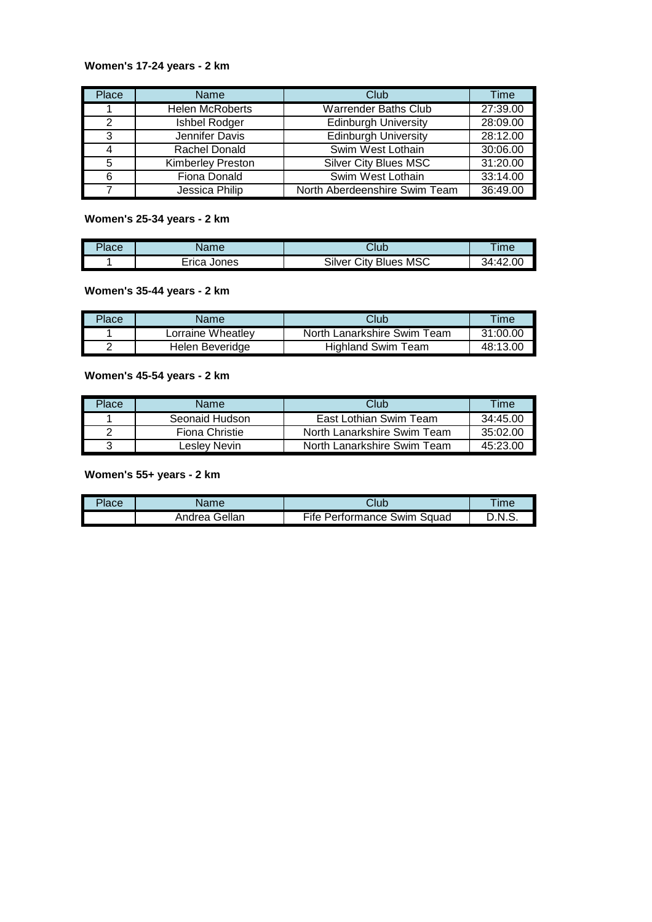## **Women's 17-24 years - 2 km**

| Place | <b>Name</b>              | Club                          | Time     |
|-------|--------------------------|-------------------------------|----------|
|       | <b>Helen McRoberts</b>   | <b>Warrender Baths Club</b>   | 27:39.00 |
| 2     | Ishbel Rodger            | <b>Edinburgh University</b>   | 28:09.00 |
| 3     | Jennifer Davis           | <b>Edinburgh University</b>   | 28:12.00 |
| 4     | Rachel Donald            | Swim West Lothain             | 30:06.00 |
| 5     | <b>Kimberley Preston</b> | <b>Silver City Blues MSC</b>  | 31:20.00 |
| 6     | Fiona Donald             | Swim West Lothain             | 33:14.00 |
|       | Jessica Philip           | North Aberdeenshire Swim Team | 36:49.00 |

#### **Women's 25-34 years - 2 km**

| Place | 100 <sub>m</sub> | Club                         | $Im\epsilon$ |
|-------|------------------|------------------------------|--------------|
|       | lones<br>⊨rica   | MSC<br>Silver<br>City Blues, | :42.00<br>₹Δ |

# **Women's 35-44 years - 2 km**

| Place | Name              | Club                        | Time     |
|-------|-------------------|-----------------------------|----------|
|       | Lorraine Wheatlev | North Lanarkshire Swim Team | 31:00.00 |
|       | Helen Beveridge   | <b>Highland Swim Team</b>   | 48:13.00 |

# **Women's 45-54 years - 2 km**

| Place | Name           | Club                        | Time     |
|-------|----------------|-----------------------------|----------|
|       | Seonaid Hudson | East Lothian Swim Team      | 34:45.00 |
|       | Fiona Christie | North Lanarkshire Swim Team | 35:02:00 |
|       | Leslev Nevin   | North Lanarkshire Swim Team | 45:23.00 |

# **Women's 55+ years - 2 km**

| $P$ ace | Name          | Club                               | <b>Time</b> |
|---------|---------------|------------------------------------|-------------|
|         | Andrea Gellan | <b>Fife Performance Swim Squad</b> | D.N.S.      |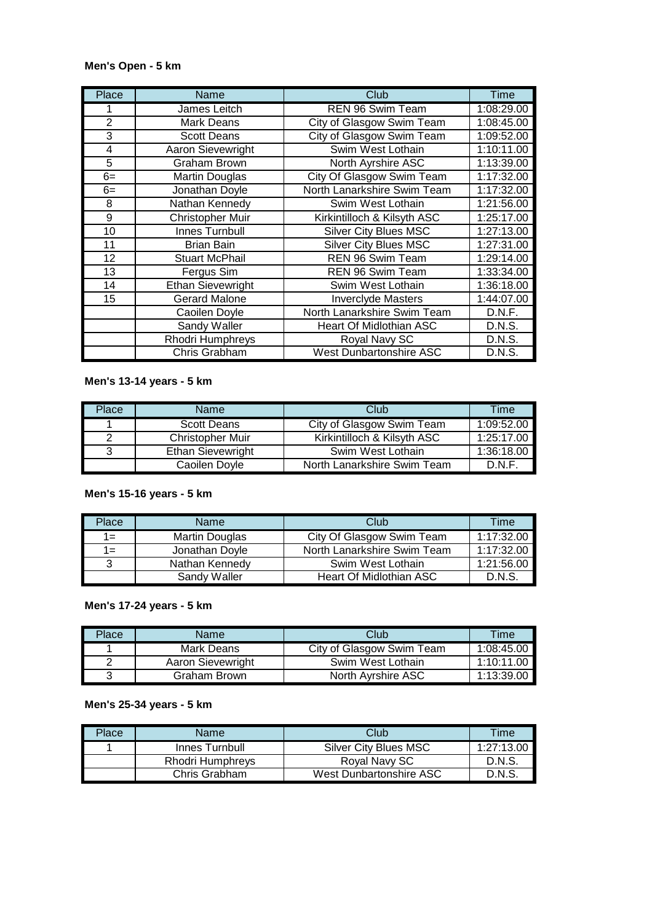## **Men's Open - 5 km**

| Place          | Name                     | Club                           | Time       |
|----------------|--------------------------|--------------------------------|------------|
|                | James Leitch             | <b>REN 96 Swim Team</b>        | 1:08:29.00 |
| $\overline{2}$ | Mark Deans               | City of Glasgow Swim Team      | 1:08:45.00 |
| 3              | <b>Scott Deans</b>       | City of Glasgow Swim Team      | 1:09:52.00 |
| 4              | Aaron Sievewright        | Swim West Lothain              | 1:10:11.00 |
| 5              | <b>Graham Brown</b>      | North Ayrshire ASC             | 1:13:39.00 |
| $6=$           | <b>Martin Douglas</b>    | City Of Glasgow Swim Team      | 1:17:32.00 |
| $6=$           | Jonathan Doyle           | North Lanarkshire Swim Team    | 1:17:32.00 |
| 8              | Nathan Kennedy           | Swim West Lothain              | 1:21:56.00 |
| 9              | Christopher Muir         | Kirkintilloch & Kilsyth ASC    | 1:25:17.00 |
| 10             | Innes Turnbull           | <b>Silver City Blues MSC</b>   | 1:27:13.00 |
| 11             | <b>Brian Bain</b>        | <b>Silver City Blues MSC</b>   | 1:27:31.00 |
| 12             | <b>Stuart McPhail</b>    | REN 96 Swim Team               | 1:29:14.00 |
| 13             | Fergus Sim               | <b>REN 96 Swim Team</b>        | 1:33:34.00 |
| 14             | <b>Ethan Sievewright</b> | Swim West Lothain              | 1:36:18.00 |
| 15             | <b>Gerard Malone</b>     | <b>Inverclyde Masters</b>      | 1:44:07.00 |
|                | Caoilen Doyle            | North Lanarkshire Swim Team    | D.N.F.     |
|                | Sandy Waller             | <b>Heart Of Midlothian ASC</b> | D.N.S.     |
|                | Rhodri Humphreys         | Royal Navy SC                  | D.N.S.     |
|                | Chris Grabham            | <b>West Dunbartonshire ASC</b> | D.N.S.     |

# **Men's 13-14 years - 5 km**

| Place | Name                     | Club                        | Time       |
|-------|--------------------------|-----------------------------|------------|
|       | <b>Scott Deans</b>       | City of Glasgow Swim Team   | 1:09:52.00 |
| າ     | <b>Christopher Muir</b>  | Kirkintilloch & Kilsyth ASC | 1:25:17.00 |
| ?     | <b>Ethan Sievewright</b> | Swim West Lothain           | 1:36:18.00 |
|       | Caoilen Dovle            | North Lanarkshire Swim Team | D.N.F.     |

# **Men's 15-16 years - 5 km**

| Place | Name           | Club                        | Time       |
|-------|----------------|-----------------------------|------------|
| $1 =$ | Martin Douglas | City Of Glasgow Swim Team   | 1:17:32.00 |
| $1 =$ | Jonathan Doyle | North Lanarkshire Swim Team | 1:17:32.00 |
| 3     | Nathan Kennedy | Swim West Lothain           | 1:21:56.00 |
|       | Sandy Waller   | Heart Of Midlothian ASC     | D.N.S.     |

#### **Men's 17-24 years - 5 km**

| Place | Name              | Club                      | Time       |
|-------|-------------------|---------------------------|------------|
|       | Mark Deans        | City of Glasgow Swim Team | 1:08:45.00 |
|       | Aaron Sievewright | Swim West Lothain         | 1:10:11.00 |
|       | Graham Brown      | North Avrshire ASC        | 1:13:39.00 |

#### **Men's 25-34 years - 5 km**

| Place | <b>Name</b>      | Club                    | Time       |
|-------|------------------|-------------------------|------------|
|       | Innes Turnbull   | Silver City Blues MSC   | 1:27:13.00 |
|       | Rhodri Humphreys | Royal Navy SC           | D.N.S.     |
|       | Chris Grabham    | West Dunbartonshire ASC | D N S      |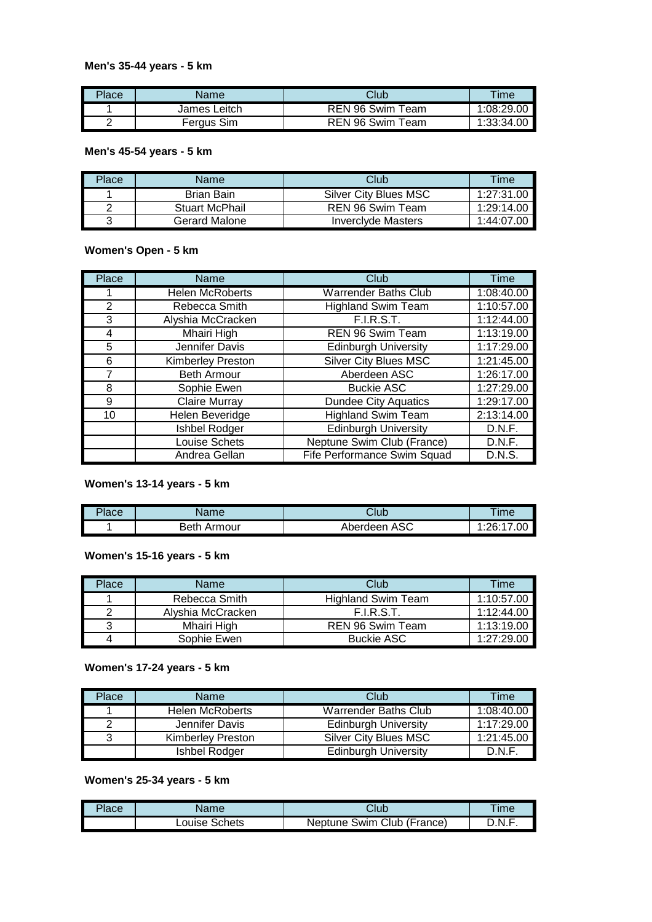#### **Men's 35-44 years - 5 km**

| Place | Name         | Club             | Time       |
|-------|--------------|------------------|------------|
|       | James Leitch | REN 96 Swim Team | 1:08:29.00 |
|       | Fergus Sim   | REN 96 Swim Team | 1:33:34.00 |

### **Men's 45-54 years - 5 km**

| Place | Name                  | Club                      | Time       |
|-------|-----------------------|---------------------------|------------|
|       | Brian Bain            | Silver City Blues MSC     | 1:27:31.00 |
|       | <b>Stuart McPhail</b> | REN 96 Swim Team          | 1:29:14.00 |
|       | Gerard Malone         | <b>Inverciyde Masters</b> | 1:44:07.00 |

#### **Women's Open - 5 km**

| Place          | Name                     | Club                         | Time       |
|----------------|--------------------------|------------------------------|------------|
|                | <b>Helen McRoberts</b>   | <b>Warrender Baths Club</b>  | 1:08:40.00 |
| 2              | Rebecca Smith            | <b>Highland Swim Team</b>    | 1:10:57.00 |
| 3              | Alyshia McCracken        | <b>F.I.R.S.T.</b>            | 1:12:44.00 |
| 4              | Mhairi High              | REN 96 Swim Team             | 1:13:19.00 |
| 5              | Jennifer Davis           | <b>Edinburgh University</b>  | 1:17:29.00 |
| 6              | <b>Kimberley Preston</b> | <b>Silver City Blues MSC</b> | 1:21:45.00 |
| $\overline{7}$ | <b>Beth Armour</b>       | Aberdeen ASC                 | 1:26:17.00 |
| 8              | Sophie Ewen              | <b>Buckie ASC</b>            | 1:27:29.00 |
| 9              | <b>Claire Murray</b>     | <b>Dundee City Aquatics</b>  | 1:29:17.00 |
| 10             | Helen Beveridge          | <b>Highland Swim Team</b>    | 2:13:14.00 |
|                | Ishbel Rodger            | <b>Edinburgh University</b>  | D.N.F.     |
|                | Louise Schets            | Neptune Swim Club (France)   | D.N.F.     |
|                | Andrea Gellan            | Fife Performance Swim Squad  | D.N.S.     |

#### **Women's 13-14 years - 5 km**

| Place | Name           | Club            | Time                  |
|-------|----------------|-----------------|-----------------------|
|       | Beth<br>Armour | ASC<br>Aberdeen | 00.1<br>.06.17<br>. ت |

# **Women's 15-16 years - 5 km**

| Place | Name              | Club                      | Time       |
|-------|-------------------|---------------------------|------------|
|       | Rebecca Smith     | <b>Highland Swim Team</b> | 1:10:57.00 |
| ⌒     | Alyshia McCracken | F.I.R.S.T.                | 1:12:44.00 |
|       | Mhairi High       | REN 96 Swim Team          | 1:13:19.00 |
| 4     | Sophie Ewen       | <b>Buckie ASC</b>         | 1.27:29.00 |

#### **Women's 17-24 years - 5 km**

| Place | Name                     | Club                         | Time       |
|-------|--------------------------|------------------------------|------------|
|       | <b>Helen McRoberts</b>   | <b>Warrender Baths Club</b>  | 1:08:40.00 |
| ົ     | Jennifer Davis           | <b>Edinburgh University</b>  | 1:17:29.00 |
| 3     | <b>Kimberley Preston</b> | <b>Silver City Blues MSC</b> | 1:21:45.00 |
|       | Ishbel Rodger            | <b>Edinburgh University</b>  | D.N.F.     |

# **Women's 25-34 years - 5 km**

| Place | 1002             | Club                                           | Time |
|-------|------------------|------------------------------------------------|------|
|       | Schets<br>Louise | $\sqrt{2}$<br>Swim Club<br>'France)<br>Neptune | .N.F |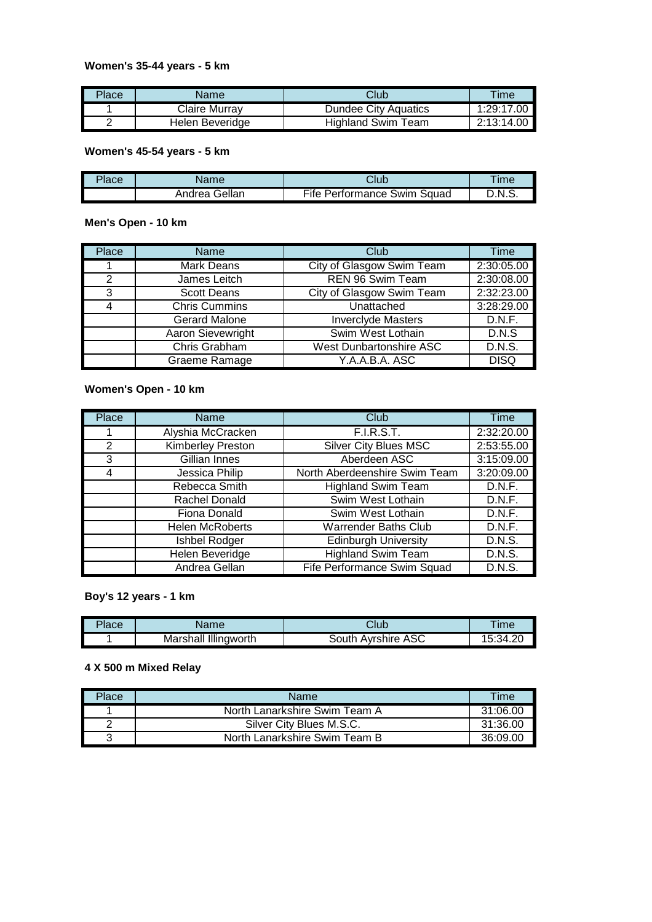## **Women's 35-44 years - 5 km**

| Place | Name            | Club                      | $T$ ime    |
|-------|-----------------|---------------------------|------------|
|       | Claire Murrav   | Dundee City Aquatics      | 1:29:17.00 |
|       | Helen Beveridge | <b>Highland Swim Team</b> | 2:13:14.00 |

### **Women's 45-54 years - 5 km**

| Place | Name          | Club                        | ™e     |
|-------|---------------|-----------------------------|--------|
|       | Andrea Gellan | Fife Performance Swim Squad | D.N.S. |

## **Men's Open - 10 km**

| Place | Name                 | Club                      | Time          |
|-------|----------------------|---------------------------|---------------|
|       | <b>Mark Deans</b>    | City of Glasgow Swim Team | 2:30:05.00    |
| 2     | James Leitch         | REN 96 Swim Team          | 2:30:08.00    |
| 3     | <b>Scott Deans</b>   | City of Glasgow Swim Team | 2:32:23.00    |
| 4     | <b>Chris Cummins</b> | Unattached                | 3:28:29.00    |
|       | <b>Gerard Malone</b> | <b>Inverclyde Masters</b> | D.N.F.        |
|       | Aaron Sievewright    | Swim West Lothain         | D.N.S         |
|       | Chris Grabham        | West Dunbartonshire ASC   | <b>D.N.S.</b> |
|       | Graeme Ramage        | Y.A.A.B.A. ASC            | <b>DISQ</b>   |

## **Women's Open - 10 km**

| Place | Name                     | Club                          | Time          |
|-------|--------------------------|-------------------------------|---------------|
|       | Alyshia McCracken        | <b>F.I.R.S.T.</b>             | 2:32:20.00    |
| 2     | <b>Kimberley Preston</b> | <b>Silver City Blues MSC</b>  | 2:53:55.00    |
| 3     | Gillian Innes            | Aberdeen ASC                  | 3:15:09.00    |
| 4     | Jessica Philip           | North Aberdeenshire Swim Team | 3:20:09.00    |
|       | Rebecca Smith            | <b>Highland Swim Team</b>     | D.N.F.        |
|       | <b>Rachel Donald</b>     | Swim West Lothain             | D.N.F.        |
|       | Fiona Donald             | Swim West Lothain             | D.N.F.        |
|       | <b>Helen McRoberts</b>   | <b>Warrender Baths Club</b>   | D.N.F.        |
|       | Ishbel Rodger            | <b>Edinburgh University</b>   | D.N.S.        |
|       | Helen Beveridge          | <b>Highland Swim Team</b>     | <b>D.N.S.</b> |
|       | Andrea Gellan            | Fife Performance Swim Squad   | D.N.S.        |

**Boy's 12 years - 1 km**

| Place | Name                    | Club                     | <b>Ime</b> |
|-------|-------------------------|--------------------------|------------|
|       | Illingworth<br>Marshall | ASC<br>Avrshire<br>⊰outh | 34.20:     |

# **4 X 500 m Mixed Relay**

| Place | Name                          | Time     |
|-------|-------------------------------|----------|
|       | North Lanarkshire Swim Team A | 31:06.00 |
| ົ     | Silver City Blues M.S.C.      | 31:36.00 |
| 3     | North Lanarkshire Swim Team B | 36:09.00 |